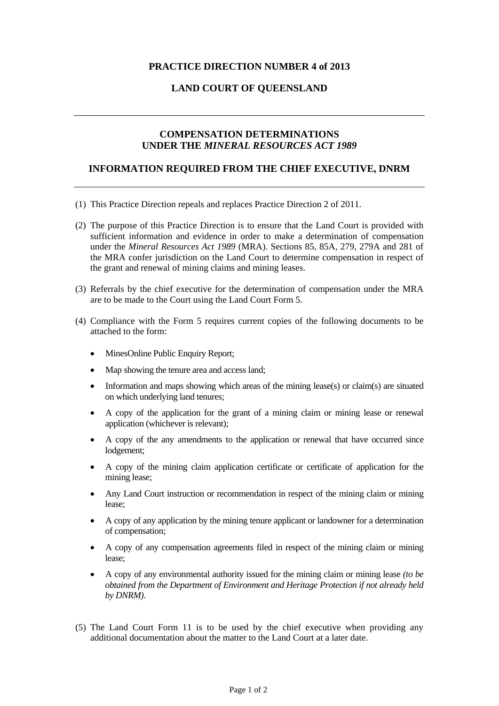# **PRACTICE DIRECTION NUMBER 4 of 2013**

## **LAND COURT OF QUEENSLAND**

### **COMPENSATION DETERMINATIONS UNDER THE** *MINERAL RESOURCES ACT 1989*

#### **INFORMATION REQUIRED FROM THE CHIEF EXECUTIVE, DNRM**

- (1) This Practice Direction repeals and replaces Practice Direction 2 of 2011.
- (2) The purpose of this Practice Direction is to ensure that the Land Court is provided with sufficient information and evidence in order to make a determination of compensation under the *Mineral Resources Act 1989* (MRA). Sections 85, 85A, 279, 279A and 281 of the MRA confer jurisdiction on the Land Court to determine compensation in respect of the grant and renewal of mining claims and mining leases.
- (3) Referrals by the chief executive for the determination of compensation under the MRA are to be made to the Court using the Land Court Form 5.
- (4) Compliance with the Form 5 requires current copies of the following documents to be attached to the form:
	- MinesOnline Public Enquiry Report;
	- Map showing the tenure area and access land;
	- Information and maps showing which areas of the mining lease(s) or claim(s) are situated on which underlying land tenures;
	- A copy of the application for the grant of a mining claim or mining lease or renewal application (whichever is relevant);
	- A copy of the any amendments to the application or renewal that have occurred since lodgement;
	- A copy of the mining claim application certificate or certificate of application for the mining lease;
	- Any Land Court instruction or recommendation in respect of the mining claim or mining lease;
	- A copy of any application by the mining tenure applicant or landowner for a determination of compensation;
	- A copy of any compensation agreements filed in respect of the mining claim or mining lease;
	- A copy of any environmental authority issued for the mining claim or mining lease *(to be obtained from the Department of Environment and Heritage Protection if not already held by DNRM)*.
- (5) The Land Court Form 11 is to be used by the chief executive when providing any additional documentation about the matter to the Land Court at a later date.